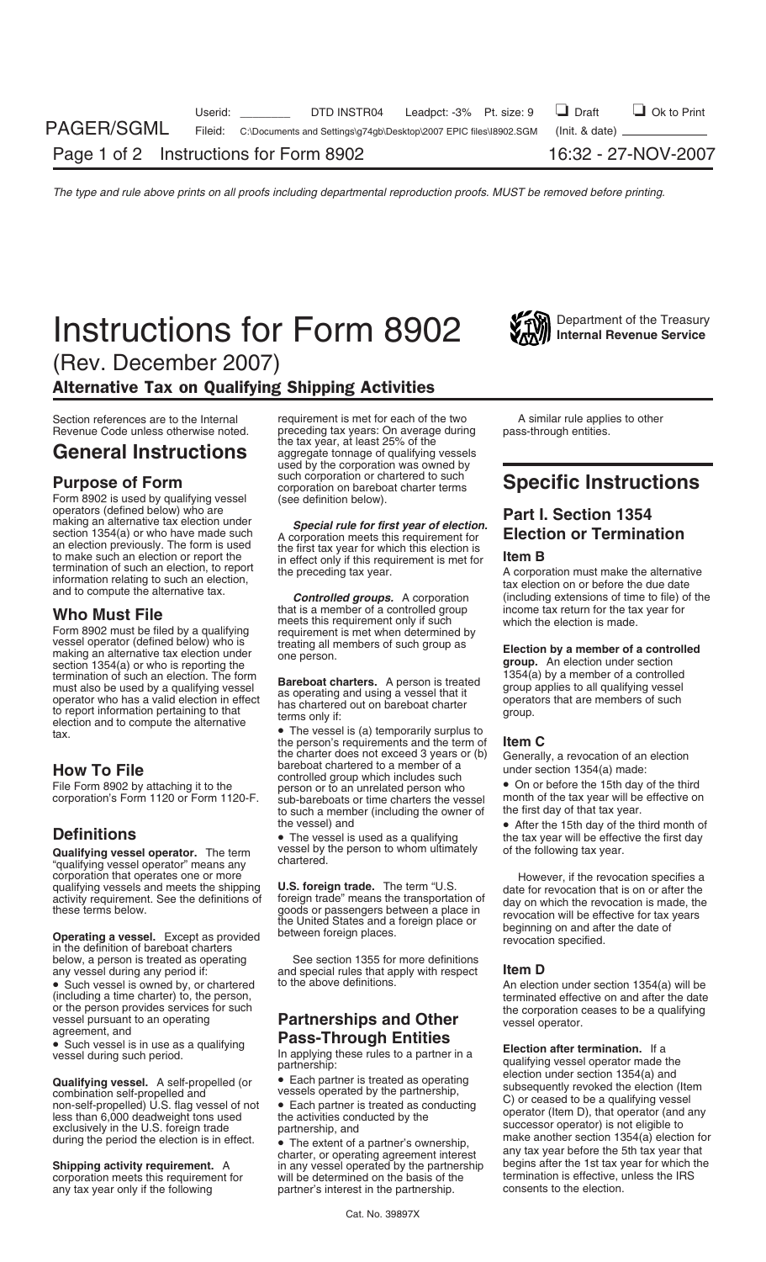# **Instructions for Form 8902** Internal Revenue Service



(Rev. December 2007) Alternative Tax on Qualifying Shipping Activities

Form 8902 is used by qualifying vessel<br>operators (defined below) who are operators (defined below) who are<br>making an alternative tax election under<br>section 1354(a) or who have made such<br>an election previously. The form is used<br>the first tax year for which this election is

Form 8902 must be filed by a qualifying meets this requirement only if such which the election is made.<br>
Form 8902 must be filed by a qualifying requirement is met when determined by<br>
vessel operator (defined below) who is termination of such an election. The form<br>
must also be used by a qualifying vessel<br>
operator who has a valid election in effect<br>
to report information pertaining to that<br>
thas chartered out on bareboat charter<br>
terms only

**Qualifying vessel operator.** The term vessel by the person to whom ultimately of the following tax year.<br>"qualifying vessel operator" means any chartered.<br>corporation that operates one or more corporation that operates one or more<br>qualifying vessels and meets the shipping **U.S. foreign trade.** The term "U.S. date for revocation that is on or after the<br>activity requirement. See the definitions of foreign trade" m

below, a person is treated as operating See section 1355 for more definitions<br>any vessel during any period if: and special rules that apply with respect

Gualitying vessels of the partnership,<br>
combination self-propelled and the propelled of the self-propelled of the self-propelled of the self-propelled of the self-propelled of the self-propelled of the self-propelled of th

Section references are to the Internal requirement is met for each of the two A similar rule applies to other Revenue Code unless otherwise noted. preceding tax years: On average during pass-through entities. **General Instructions** aggregate tonnage of qualifying vessels used by the corporation was owned by<br>such corporation or chartered to such **Purpose of Form**<br>
Form 8902 is used by qualifying vessel (see definition below).<br>
Form 8902 is used by qualifying vessel (see definition below).

to make such an election or report the the first tax year for **in effect only if this requirement is met for Item B**<br>the preceding tax year. A corporation must make the alternative

**Who Must File** that is a member of a controlled group income tax return for the tax year for<br> **The controlled** group income tax return for the tax year for<br> **The controlled** group income tax return for the tax year for

the charter does not exceed 3 years or (b) Generally, a revocation of an election<br>
bareboat chartered to a member of a<br>
File Form 8902 by attaching it to the person or to an unrelated person who<br>
corporation's Form 1120 or to such a member (including the owner of the first day of that tax year.<br>the vessel) and <br>• After the 15th day of the t

and special rules that apply with respect **Item D** 

in any vessel operated by the partnership begins after the 1st tax year for which t<br>will be determined on the basis of the termination is effective, unless the IRS corporation meets this requirement for will be determined on the basis of the termination is effective, unit any tax year only if the following partner's interest in the partnership. Consents to the election. partner's interest in the partnership.

termination of such an election, to report the preceding tax year. A corporation must make the alternative<br>information relating to such an election,<br>and to compute the alternative tax. **Controlled groups.** A corporation (i

the vessel) and **befinitions** the vessel and **befinitions • After the 15th day of the third month of befinitions** • The vessel is used as a qualifying **the tax year will be effective the first day of the following ta** 

activity requirement. See the definitions of foreign trade" means the transportation of day on which the revocation is made, the goods or passengers between a place in the definition of the United States and a foreign plac

• Such vessel is owned by, or chartered to the above definitions. An election under section 1354(a) will be (including a time charter) to, the person,<br>or the person provides services for such the corporation ceases to be a qualifying

or the person provides services for such<br>
vessel pursuant to an operating<br>
agreement, and<br>
• Such vessel is in use as a qualifying<br>
vessel sin use as a qualifying<br>
vessel agreement, and<br>
• Such vessel is in use as a qualif exclusively in the U.S. foreign trade partnership, and successor operator) is not eligible to<br>during the period the election is in effect.<br>**Charter, or operating agreement interest** any tax year before the 5th tax year tha